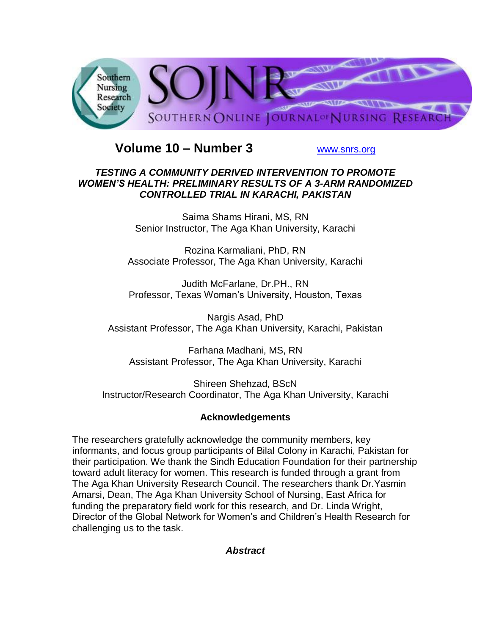

# **Volume 10 – Number 3** [www.snrs.org](http://www.snrs.org/)

## *TESTING A COMMUNITY DERIVED INTERVENTION TO PROMOTE WOMEN'S HEALTH: PRELIMINARY RESULTS OF A 3-ARM RANDOMIZED CONTROLLED TRIAL IN KARACHI, PAKISTAN*

Saima Shams Hirani, MS, RN Senior Instructor, The Aga Khan University, Karachi

Rozina Karmaliani, PhD, RN Associate Professor, The Aga Khan University, Karachi

Judith McFarlane, Dr.PH., RN Professor, Texas Woman's University, Houston, Texas

Nargis Asad, PhD Assistant Professor, The Aga Khan University, Karachi, Pakistan

Farhana Madhani, MS, RN Assistant Professor, The Aga Khan University, Karachi

Shireen Shehzad, BScN Instructor/Research Coordinator, The Aga Khan University, Karachi

# **Acknowledgements**

The researchers gratefully acknowledge the community members, key informants, and focus group participants of Bilal Colony in Karachi, Pakistan for their participation. We thank the Sindh Education Foundation for their partnership toward adult literacy for women. This research is funded through a grant from The Aga Khan University Research Council. The researchers thank Dr.Yasmin Amarsi, Dean, The Aga Khan University School of Nursing, East Africa for funding the preparatory field work for this research, and Dr. Linda Wright, Director of the Global Network for Women's and Children's Health Research for challenging us to the task.

*Abstract*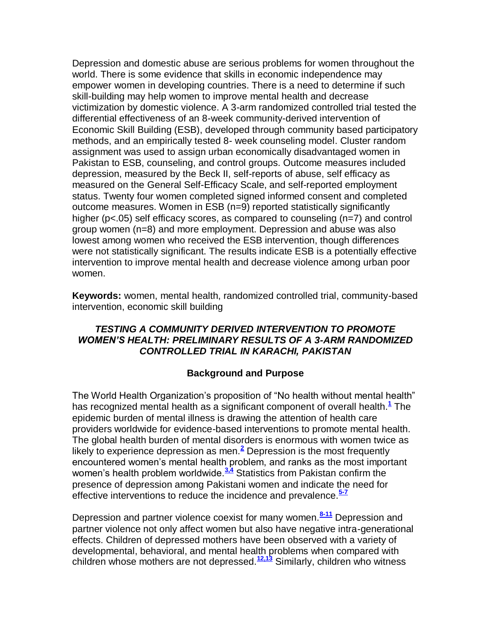Depression and domestic abuse are serious problems for women throughout the world. There is some evidence that skills in economic independence may empower women in developing countries. There is a need to determine if such skill-building may help women to improve mental health and decrease victimization by domestic violence. A 3-arm randomized controlled trial tested the differential effectiveness of an 8-week community-derived intervention of Economic Skill Building (ESB), developed through community based participatory methods, and an empirically tested 8- week counseling model. Cluster random assignment was used to assign urban economically disadvantaged women in Pakistan to ESB, counseling, and control groups. Outcome measures included depression, measured by the Beck II, self-reports of abuse, self efficacy as measured on the General Self-Efficacy Scale, and self-reported employment status. Twenty four women completed signed informed consent and completed outcome measures. Women in ESB (n=9) reported statistically significantly higher (p<.05) self efficacy scores, as compared to counseling (n=7) and control group women (n=8) and more employment. Depression and abuse was also lowest among women who received the ESB intervention, though differences were not statistically significant. The results indicate ESB is a potentially effective intervention to improve mental health and decrease violence among urban poor women.

**Keywords:** women, mental health, randomized controlled trial, community-based intervention, economic skill building

## *TESTING A COMMUNITY DERIVED INTERVENTION TO PROMOTE WOMEN'S HEALTH: PRELIMINARY RESULTS OF A 3-ARM RANDOMIZED CONTROLLED TRIAL IN KARACHI, PAKISTAN*

### **Background and Purpose**

The World Health Organization's proposition of "No health without mental health" has recognized mental health as a significant component of overall health[.](http://snrs.org/publications/SOJNR_articles2/n)**<sup>1</sup>** The epidemic burden of mental illness is drawing the attention of health care providers worldwide for evidence-based interventions to promote mental health. The global health burden of mental disorders is enormous with women twice as likely to experience depression as men.**[2](http://snrs.org/publications/SOJNR_articles2/n)** Depression is the most frequently encountered women's mental health problem, and ranks as the most important women's health problem worldwide.<sup>3.4</sup> Statistics from Pakistan confirm the presence of depression among Pakistani women and indicate the need for effective interventions to reduce the incidence and prevalence.**[5-7](http://snrs.org/publications/SOJNR_articles2/n)**

Depression and partner violence coexist for many women.**[8-11](http://snrs.org/publications/SOJNR_articles2/n)** Depression and partner violence not only affect women but also have negative intra-generational effects. Children of depressed mothers have been observed with a variety of developmental, behavioral, and mental health problems when compared with children whose mothers are not depressed.**[12,13](http://snrs.org/publications/SOJNR_articles2/n)** Similarly, children who witness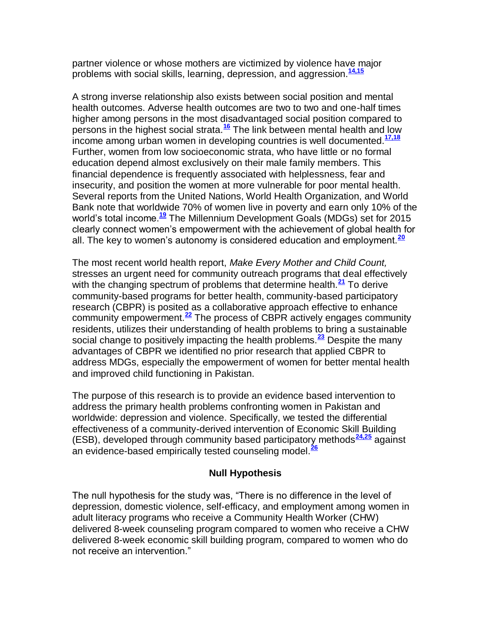partner violence or whose mothers are victimized by violence have major problems with social skills, learning, depression, and aggression.**[14,15](http://snrs.org/publications/SOJNR_articles2/n)**

A strong inverse relationship also exists between social position and mental health outcomes. Adverse health outcomes are two to two and one-half times higher among persons in the most disadvantaged social position compared to persons in the highest social strata.**[16](http://snrs.org/publications/SOJNR_articles2/n)** The link between mental health and low income among urban women in developing countries is well documented.**[17,18](http://snrs.org/publications/SOJNR_articles2/n)** Further, women from low socioeconomic strata, who have little or no formal education depend almost exclusively on their male family members. This financial dependence is frequently associated with helplessness, fear and insecurity, and position the women at more vulnerable for poor mental health. Several reports from the United Nations, World Health Organization, and World Bank note that worldwide 70% of women live in poverty and earn only 10% of the world's total income.**[19](http://snrs.org/publications/SOJNR_articles2/n)** The Millennium Development Goals (MDGs) set for 2015 clearly connect women's empowerment with the achievement of global health for all. The key to women's autonomy is considered education and employment.**[20](http://snrs.org/publications/SOJNR_articles2/n)**

The most recent world health report, *Make Every Mother and Child Count,*  stresses an urgent need for community outreach programs that deal effectively with the changing spectrum of problems that determine health.**[21](http://snrs.org/publications/SOJNR_articles2/n)** To derive community-based programs for better health, community-based participatory research (CBPR) is posited as a collaborative approach effective to enhance community empowerment.**[22](http://snrs.org/publications/SOJNR_articles2/n)** The process of CBPR actively engages community residents, utilizes their understanding of health problems to bring a sustainable social change to positively impacting the health problems.**[23](http://snrs.org/publications/SOJNR_articles2/n)** Despite the many advantages of CBPR we identified no prior research that applied CBPR to address MDGs, especially the empowerment of women for better mental health and improved child functioning in Pakistan.

The purpose of this research is to provide an evidence based intervention to address the primary health problems confronting women in Pakistan and worldwide: depression and violence. Specifically, we tested the differential effectiveness of a community-derived intervention of Economic Skill Building (ESB), developed through community based participatory methods**[24,25](http://snrs.org/publications/SOJNR_articles2/n)** against an evidence-based empirically tested counseling model.**[26](http://snrs.org/publications/SOJNR_articles2/n)**

### **Null Hypothesis**

The null hypothesis for the study was, "There is no difference in the level of depression, domestic violence, self-efficacy, and employment among women in adult literacy programs who receive a Community Health Worker (CHW) delivered 8-week counseling program compared to women who receive a CHW delivered 8-week economic skill building program, compared to women who do not receive an intervention."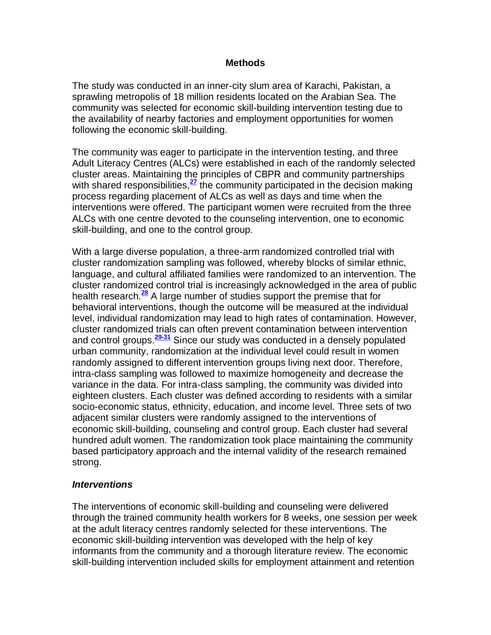#### **Methods**

The study was conducted in an inner-city slum area of Karachi, Pakistan, a sprawling metropolis of 18 million residents located on the Arabian Sea. The community was selected for economic skill-building intervention testing due to the availability of nearby factories and employment opportunities for women following the economic skill-building.

The community was eager to participate in the intervention testing, and three Adult Literacy Centres (ALCs) were established in each of the randomly selected cluster areas. Maintaining the principles of CBPR and community partnerships with shared responsibilities, <sup>[27](http://snrs.org/publications/SOJNR_articles2/n)</sup> the community participated in the decision making process regarding placement of ALCs as well as days and time when the interventions were offered. The participant women were recruited from the three ALCs with one centre devoted to the counseling intervention, one to economic skill-building, and one to the control group.

With a large diverse population, a three-arm randomized controlled trial with cluster randomization sampling was followed, whereby blocks of similar ethnic, language, and cultural affiliated families were randomized to an intervention. The cluster randomized control trial is increasingly acknowledged in the area of public health research.**[28](http://snrs.org/publications/SOJNR_articles2/n)** A large number of studies support the premise that for behavioral interventions, though the outcome will be measured at the individual level, individual randomization may lead to high rates of contamination. However, cluster randomized trials can often prevent contamination between intervention and control groups.**[29-31](http://snrs.org/publications/SOJNR_articles2/n)** Since our study was conducted in a densely populated urban community, randomization at the individual level could result in women randomly assigned to different intervention groups living next door. Therefore, intra-class sampling was followed to maximize homogeneity and decrease the variance in the data. For intra-class sampling, the community was divided into eighteen clusters. Each cluster was defined according to residents with a similar socio-economic status, ethnicity, education, and income level. Three sets of two adjacent similar clusters were randomly assigned to the interventions of economic skill-building, counseling and control group. Each cluster had several hundred adult women. The randomization took place maintaining the community based participatory approach and the internal validity of the research remained strong.

#### *Interventions*

The interventions of economic skill-building and counseling were delivered through the trained community health workers for 8 weeks, one session per week at the adult literacy centres randomly selected for these interventions. The economic skill-building intervention was developed with the help of key informants from the community and a thorough literature review. The economic skill-building intervention included skills for employment attainment and retention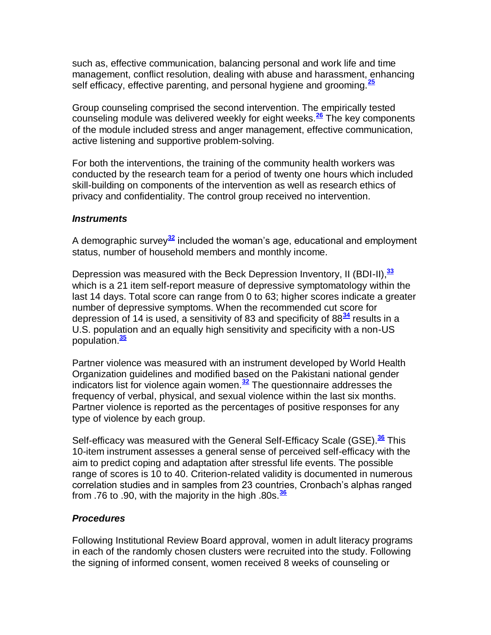such as, effective communication, balancing personal and work life and time management, conflict resolution, dealing with abuse and harassment, enhancing self efficacy, effective parenting, and personal hygiene and grooming.**[25](http://snrs.org/publications/SOJNR_articles2/n)**

Group counseling comprised the second intervention. The empirically tested counseling module was delivered weekly for eight weeks.**[26](http://snrs.org/publications/SOJNR_articles2/n)** The key components of the module included stress and anger management, effective communication, active listening and supportive problem-solving.

For both the interventions, the training of the community health workers was conducted by the research team for a period of twenty one hours which included skill-building on components of the intervention as well as research ethics of privacy and confidentiality. The control group received no intervention.

### *Instruments*

A demographic survey**[32](http://snrs.org/publications/SOJNR_articles2/n)** included the woman's age, educational and employment status, number of household members and monthly income.

Depression was measured with the Beck Depression Inventory, II (BDI-II),**[33](http://snrs.org/publications/SOJNR_articles2/n)** which is a 21 item self-report measure of depressive symptomatology within the last 14 days. Total score can range from 0 to 63; higher scores indicate a greater number of depressive symptoms. When the recommended cut score for depression of 14 is used, a sensitivity of 83 and specificity of 88**[34](http://snrs.org/publications/SOJNR_articles2/n)** results in a U.S. population and an equally high sensitivity and specificity with a non-US population.**[35](http://snrs.org/publications/SOJNR_articles2/n)**

Partner violence was measured with an instrument developed by World Health Organization guidelines and modified based on the Pakistani national gender indicators list for violence again women.**[32](http://snrs.org/publications/SOJNR_articles2/n)** The questionnaire addresses the frequency of verbal, physical, and sexual violence within the last six months. Partner violence is reported as the percentages of positive responses for any type of violence by each group.

Self-efficacy was measured with the General Self-Efficacy Scale (GSE).**[36](http://snrs.org/publications/SOJNR_articles2/n)** This 10-item instrument assesses a general sense of perceived self-efficacy with the aim to predict coping and adaptation after stressful life events. The possible range of scores is 10 to 40. Criterion-related validity is documented in numerous correlation studies and in samples from 23 countries, Cronbach's alphas ranged from .76 to .90, with the majority in the high .80s.**[36](http://snrs.org/publications/SOJNR_articles2/n)**

### *Procedures*

Following Institutional Review Board approval, women in adult literacy programs in each of the randomly chosen clusters were recruited into the study. Following the signing of informed consent, women received 8 weeks of counseling or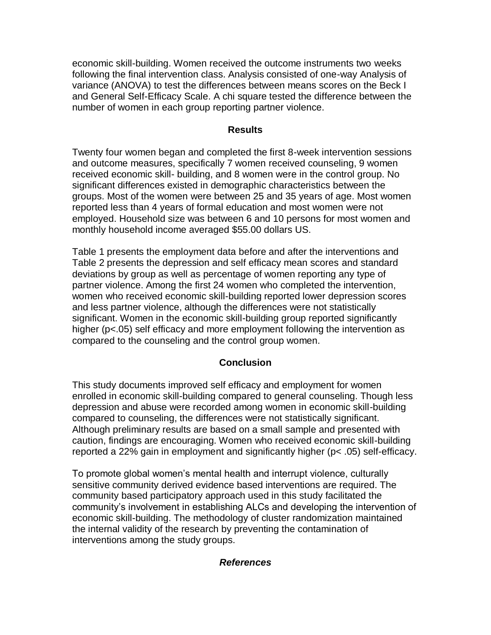economic skill-building. Women received the outcome instruments two weeks following the final intervention class. Analysis consisted of one-way Analysis of variance (ANOVA) to test the differences between means scores on the Beck I and General Self-Efficacy Scale. A chi square tested the difference between the number of women in each group reporting partner violence.

#### **Results**

Twenty four women began and completed the first 8-week intervention sessions and outcome measures, specifically 7 women received counseling, 9 women received economic skill- building, and 8 women were in the control group. No significant differences existed in demographic characteristics between the groups. Most of the women were between 25 and 35 years of age. Most women reported less than 4 years of formal education and most women were not employed. Household size was between 6 and 10 persons for most women and monthly household income averaged \$55.00 dollars US.

Table 1 presents the employment data before and after the interventions and Table 2 presents the depression and self efficacy mean scores and standard deviations by group as well as percentage of women reporting any type of partner violence. Among the first 24 women who completed the intervention, women who received economic skill-building reported lower depression scores and less partner violence, although the differences were not statistically significant. Women in the economic skill-building group reported significantly higher (p<.05) self efficacy and more employment following the intervention as compared to the counseling and the control group women.

### **Conclusion**

This study documents improved self efficacy and employment for women enrolled in economic skill-building compared to general counseling. Though less depression and abuse were recorded among women in economic skill-building compared to counseling, the differences were not statistically significant. Although preliminary results are based on a small sample and presented with caution, findings are encouraging. Women who received economic skill-building reported a 22% gain in employment and significantly higher (p< .05) self-efficacy.

To promote global women's mental health and interrupt violence, culturally sensitive community derived evidence based interventions are required. The community based participatory approach used in this study facilitated the community's involvement in establishing ALCs and developing the intervention of economic skill-building. The methodology of cluster randomization maintained the internal validity of the research by preventing the contamination of interventions among the study groups.

#### *References*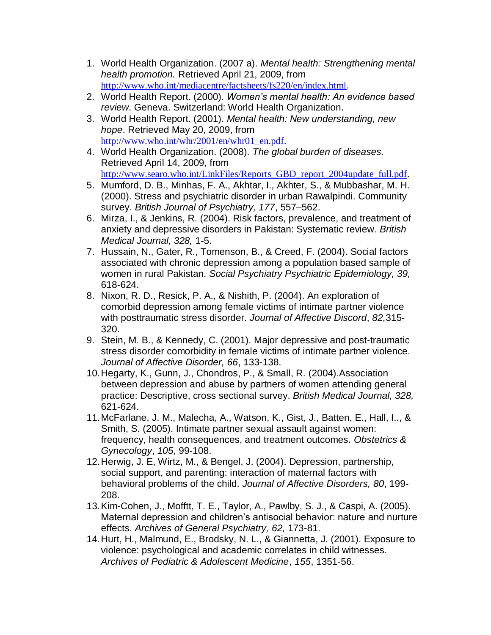- 1. World Health Organization. (2007 a). *Mental health: Strengthening mental health promotion.* Retrieved April 21, 2009, from <http://www.who.int/mediacentre/factsheets/fs220/en/index.html>.
- 2. World Health Report. (2000). *Women's mental health: An evidence based review*. Geneva. Switzerland: World Health Organization.
- 3. World Health Report. (2001). *Mental health: New understanding, new hope*. Retrieved May 20, 2009, from [http://www.who.int/whr/2001/en/whr01\\_en.pdf](http://www.who.int/whr/2001/en/whr01_en.pdf).
- 4. World Health Organization. (2008). *The global burden of diseases.* Retrieved April 14, 2009, from [http://www.searo.who.int/LinkFiles/Reports\\_GBD\\_report\\_2004update\\_full.pdf](http://www.searo.who.int/LinkFiles/Reports_GBD_report_2004update_full.pdf).
- 5. Mumford, D. B., Minhas, F. A., Akhtar, I., Akhter, S., & Mubbashar, M. H. (2000). Stress and psychiatric disorder in urban Rawalpindi. Community survey. *British Journal of Psychiatry, 177*, 557–562.
- 6. Mirza, I., & Jenkins, R. (2004). Risk factors, prevalence, and treatment of anxiety and depressive disorders in Pakistan: Systematic review. *British Medical Journal, 328,* 1-5.
- 7. Hussain, N., Gater, R., Tomenson, B., & Creed, F. (2004). Social factors associated with chronic depression among a population based sample of women in rural Pakistan. *Social Psychiatry Psychiatric Epidemiology, 39,* 618-624.
- 8. Nixon, R. D., Resick, P. A., & Nishith, P. (2004). An exploration of comorbid depression among female victims of intimate partner violence with posttraumatic stress disorder. *Journal of Affective Discord*, *82,*315- 320.
- 9. Stein, M. B., & Kennedy, C. (2001). Major depressive and post-traumatic stress disorder comorbidity in female victims of intimate partner violence. *Journal of Affective Disorder, 66*, 133-138.
- 10.Hegarty, K., Gunn, J., Chondros, P., & Small, R. (2004).Association between depression and abuse by partners of women attending general practice: Descriptive, cross sectional survey. *British Medical Journal, 328,* 621-624.
- 11.McFarlane, J. M., Malecha, A., Watson, K., Gist, J., Batten, E., Hall, I.., & Smith, S. (2005). Intimate partner sexual assault against women: frequency, health consequences, and treatment outcomes. *Obstetrics & Gynecology*, *105*, 99-108.
- 12.Herwig, J. E, Wirtz, M., & Bengel, J. (2004). Depression, partnership, social support, and parenting: interaction of maternal factors with behavioral problems of the child. *Journal of Affective Disorders, 80*, 199- 208.
- 13.Kim-Cohen, J., Mofftt, T. E., Taylor, A., Pawlby, S. J., & Caspi, A. (2005). Maternal depression and children's antisocial behavior: nature and nurture effects. *Archives of General Psychiatry, 62,* 173-81.
- 14.Hurt, H., Malmund, E., Brodsky, N. L., & Giannetta, J. (2001). Exposure to violence: psychological and academic correlates in child witnesses. *Archives of Pediatric & Adolescent Medicine*, *155*, 1351-56.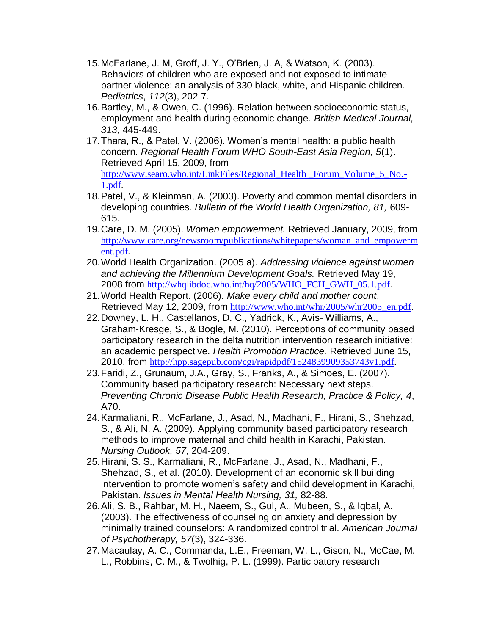- 15.McFarlane, J. M, Groff, J. Y., O'Brien, J. A, & Watson, K. (2003). Behaviors of children who are exposed and not exposed to intimate partner violence: an analysis of 330 black, white, and Hispanic children. *Pediatrics*, *112*(3), 202-7.
- 16.Bartley, M., & Owen, C. (1996). Relation between socioeconomic status, employment and health during economic change. *British Medical Journal, 313*, 445-449.
- 17.Thara, R., & Patel, V. (2006). Women's mental health: a public health concern. *Regional Health Forum WHO South-East Asia Region, 5*(1). Retrieved April 15, 2009, from http://www.searo.who.int/LinkFiles/Regional Health Forum Volume 5 No.-[1.pdf](http://www.searo.who.int/LinkFiles/Regional_Health%20_Forum_Volume_5_No.-1.pdf).
- 18.Patel, V., & Kleinman, A. (2003). Poverty and common mental disorders in developing countries. *Bulletin of the World Health Organization, 81,* 609- 615.
- 19.Care, D. M. (2005). *Women empowerment.* Retrieved January, 2009, from [http://www.care.org/newsroom/publications/whitepapers/woman\\_and\\_empowerm](http://www.care.org/newsroom/publications/whitepapers/woman_and_empowerment.pdf) [ent.pdf](http://www.care.org/newsroom/publications/whitepapers/woman_and_empowerment.pdf).
- 20.World Health Organization. (2005 a). *Addressing violence against women and achieving the Millennium Development Goals.* Retrieved May 19, 2008 from [http://whqlibdoc.who.int/hq/2005/WHO\\_FCH\\_GWH\\_05.1.pdf](http://whqlibdoc.who.int/hq/2005/WHO_FCH_GWH_05.1.pdf).
- 21.World Health Report. (2006). *Make every child and mother count*. Retrieved May 12, 2009, from [http://www.who.int/whr/2005/whr2005\\_en.pdf](http://www.who.int/whr/2005/whr2005_en.pdf).
- 22.Downey, L. H., Castellanos, D. C., Yadrick, K., Avis- Williams, A., Graham-Kresge, S., & Bogle, M. (2010). Perceptions of community based participatory research in the delta nutrition intervention research initiative: an academic perspective. *Health Promotion Practice.* Retrieved June 15, 2010, from <http://hpp.sagepub.com/cgi/rapidpdf/1524839909353743v1.pdf>.
- 23.Faridi, Z., Grunaum, J.A., Gray, S., Franks, A., & Simoes, E. (2007). Community based participatory research: Necessary next steps. *Preventing Chronic Disease Public Health Research, Practice & Policy, 4*, A70.
- 24.Karmaliani, R., McFarlane, J., Asad, N., Madhani, F., Hirani, S., Shehzad, S., & Ali, N. A. (2009). Applying community based participatory research methods to improve maternal and child health in Karachi, Pakistan. *Nursing Outlook, 57,* 204-209.
- 25.Hirani, S. S., Karmaliani, R., McFarlane, J., Asad, N., Madhani, F., Shehzad, S., et al. (2010). Development of an economic skill building intervention to promote women's safety and child development in Karachi, Pakistan. *Issues in Mental Health Nursing, 31,* 82-88.
- 26.Ali, S. B., Rahbar, M. H., Naeem, S., Gul, A., Mubeen, S., & Iqbal, A. (2003). The effectiveness of counseling on anxiety and depression by minimally trained counselors: A randomized control trial. *American Journal of Psychotherapy, 57*(3), 324-336.
- 27.Macaulay, A. C., Commanda, L.E., Freeman, W. L., Gison, N., McCae, M. L., Robbins, C. M., & Twolhig, P. L. (1999). Participatory research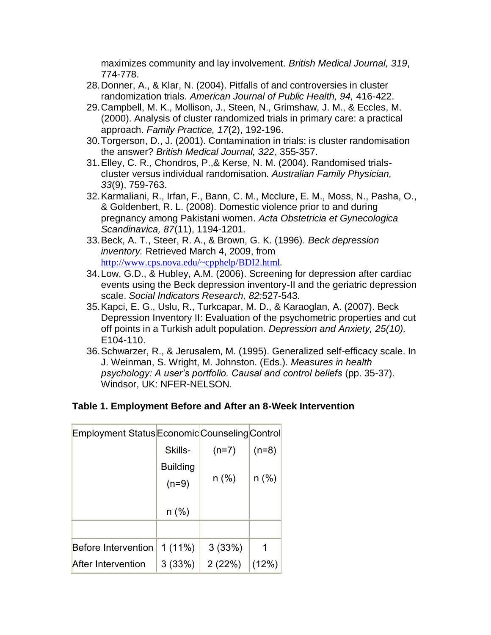maximizes community and lay involvement. *British Medical Journal, 319*, 774-778.

- 28.Donner, A., & Klar, N. (2004). Pitfalls of and controversies in cluster randomization trials. *American Journal of Public Health, 94,* 416-422.
- 29.Campbell, M. K., Mollison, J., Steen, N., Grimshaw, J. M., & Eccles, M. (2000). Analysis of cluster randomized trials in primary care: a practical approach. *Family Practice, 17*(2), 192-196.
- 30.Torgerson, D., J. (2001). Contamination in trials: is cluster randomisation the answer? *British Medical Journal, 322*, 355-357.
- 31.Elley, C. R., Chondros, P.,& Kerse, N. M. (2004). Randomised trialscluster versus individual randomisation. *Australian Family Physician, 33*(9), 759-763.
- 32.Karmaliani, R., Irfan, F., Bann, C. M., Mcclure, E. M., Moss, N., Pasha, O., & Goldenbert, R. L. (2008). Domestic violence prior to and during pregnancy among Pakistani women. *Acta Obstetricia et Gynecologica Scandinavica, 87*(11), 1194-1201.
- 33.Beck, A. T., Steer, R. A., & Brown, G. K. (1996). *Beck depression inventory.* Retrieved March 4, 2009, from <http://www.cps.nova.edu/~cpphelp/BDI2.html>.
- 34.Low, G.D., & Hubley, A.M. (2006). Screening for depression after cardiac events using the Beck depression inventory-II and the geriatric depression scale. *Social Indicators Research, 82:*527-543.
- 35.Kapci, E. G., Uslu, R., Turkcapar, M. D., & Karaoglan, A. (2007). Beck Depression Inventory II: Evaluation of the psychometric properties and cut off points in a Turkish adult population. *Depression and Anxiety, 25(10),*  E104-110.
- 36.Schwarzer, R., & Jerusalem, M. (1995). Generalized self-efficacy scale. In J. Weinman, S. Wright, M. Johnston. (Eds.). *Measures in health psychology: A user's portfolio. Causal and control beliefs* (pp. 35-37). Windsor, UK: NFER-NELSON.

# **Table 1. Employment Before and After an 8-Week Intervention**

| Employment Status Economic Counseling Control |                    |         |         |
|-----------------------------------------------|--------------------|---------|---------|
|                                               | Skills-            | $(n=7)$ | $(n=8)$ |
|                                               | <b>Building</b>    |         |         |
|                                               | $n$ (%)<br>$(n=9)$ |         | n (%)   |
|                                               |                    |         |         |
|                                               | $n$ (%)            |         |         |
|                                               |                    |         |         |
| <b>Before Intervention</b>                    | $1(11\%)$          | 3(33%)  | 1       |
| After Intervention                            | 3(33%)             | 2(22%)  | (12%)   |